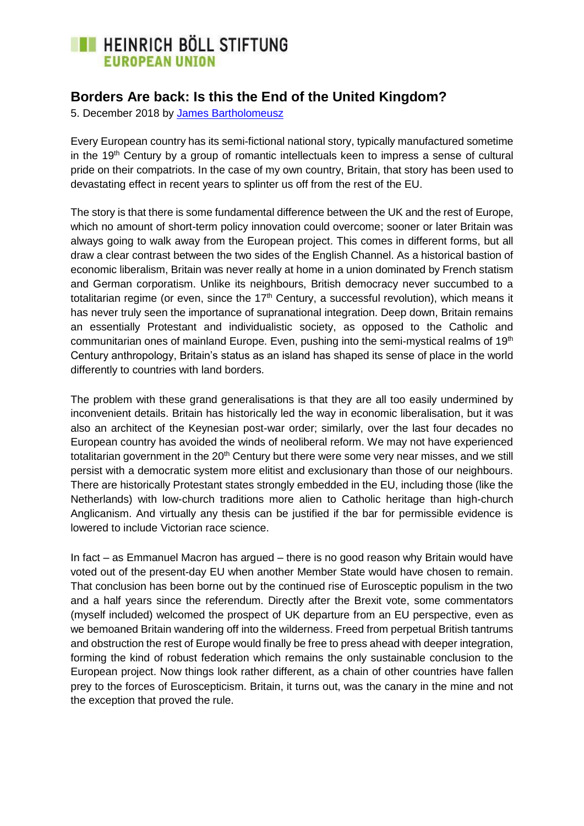# **EXECUTE HEINRICH BÖLL STIFTUNG EUROPEAN UNION**

## **Borders Are back: Is this the End of the United Kingdom?**

5. December 2018 by [James Bartholomeusz](https://eu.boell.org/en/person/james-bartholomeusz)

Every European country has its semi-fictional national story, typically manufactured sometime in the  $19<sup>th</sup>$  Century by a group of romantic intellectuals keen to impress a sense of cultural pride on their compatriots. In the case of my own country, Britain, that story has been used to devastating effect in recent years to splinter us off from the rest of the EU.

The story is that there is some fundamental difference between the UK and the rest of Europe, which no amount of short-term policy innovation could overcome; sooner or later Britain was always going to walk away from the European project. This comes in different forms, but all draw a clear contrast between the two sides of the English Channel. As a historical bastion of economic liberalism, Britain was never really at home in a union dominated by French statism and German corporatism. Unlike its neighbours, British democracy never succumbed to a totalitarian regime (or even, since the  $17<sup>th</sup>$  Century, a successful revolution), which means it has never truly seen the importance of supranational integration. Deep down, Britain remains an essentially Protestant and individualistic society, as opposed to the Catholic and communitarian ones of mainland Europe. Even, pushing into the semi-mystical realms of 19<sup>th</sup> Century anthropology, Britain's status as an island has shaped its sense of place in the world differently to countries with land borders.

The problem with these grand generalisations is that they are all too easily undermined by inconvenient details. Britain has historically led the way in economic liberalisation, but it was also an architect of the Keynesian post-war order; similarly, over the last four decades no European country has avoided the winds of neoliberal reform. We may not have experienced totalitarian government in the 20<sup>th</sup> Century but there were some very near misses, and we still persist with a democratic system more elitist and exclusionary than those of our neighbours. There are historically Protestant states strongly embedded in the EU, including those (like the Netherlands) with low-church traditions more alien to Catholic heritage than high-church Anglicanism. And virtually any thesis can be justified if the bar for permissible evidence is lowered to include Victorian race science.

In fact – as Emmanuel Macron has argued – there is no good reason why Britain would have voted out of the present-day EU when another Member State would have chosen to remain. That conclusion has been borne out by the continued rise of Eurosceptic populism in the two and a half years since the referendum. Directly after the Brexit vote, some commentators (myself included) welcomed the prospect of UK departure from an EU perspective, even as we bemoaned Britain wandering off into the wilderness. Freed from perpetual British tantrums and obstruction the rest of Europe would finally be free to press ahead with deeper integration, forming the kind of robust federation which remains the only sustainable conclusion to the European project. Now things look rather different, as a chain of other countries have fallen prey to the forces of Euroscepticism. Britain, it turns out, was the canary in the mine and not the exception that proved the rule.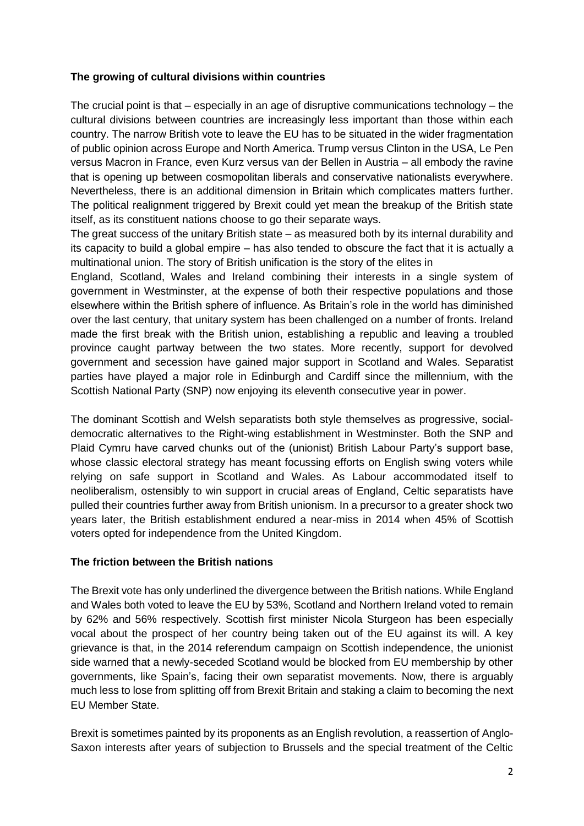#### **The growing of cultural divisions within countries**

The crucial point is that – especially in an age of disruptive communications technology – the cultural divisions between countries are increasingly less important than those within each country. The narrow British vote to leave the EU has to be situated in the wider fragmentation of public opinion across Europe and North America. Trump versus Clinton in the USA, Le Pen versus Macron in France, even Kurz versus van der Bellen in Austria – all embody the ravine that is opening up between cosmopolitan liberals and conservative nationalists everywhere. Nevertheless, there is an additional dimension in Britain which complicates matters further. The political realignment triggered by Brexit could yet mean the breakup of the British state itself, as its constituent nations choose to go their separate ways.

The great success of the unitary British state – as measured both by its internal durability and its capacity to build a global empire – has also tended to obscure the fact that it is actually a multinational union. The story of British unification is the story of the elites in

England, Scotland, Wales and Ireland combining their interests in a single system of government in Westminster, at the expense of both their respective populations and those elsewhere within the British sphere of influence. As Britain's role in the world has diminished over the last century, that unitary system has been challenged on a number of fronts. Ireland made the first break with the British union, establishing a republic and leaving a troubled province caught partway between the two states. More recently, support for devolved government and secession have gained major support in Scotland and Wales. Separatist parties have played a major role in Edinburgh and Cardiff since the millennium, with the Scottish National Party (SNP) now enjoying its eleventh consecutive year in power.

The dominant Scottish and Welsh separatists both style themselves as progressive, socialdemocratic alternatives to the Right-wing establishment in Westminster. Both the SNP and Plaid Cymru have carved chunks out of the (unionist) British Labour Party's support base, whose classic electoral strategy has meant focussing efforts on English swing voters while relying on safe support in Scotland and Wales. As Labour accommodated itself to neoliberalism, ostensibly to win support in crucial areas of England, Celtic separatists have pulled their countries further away from British unionism. In a precursor to a greater shock two years later, the British establishment endured a near-miss in 2014 when 45% of Scottish voters opted for independence from the United Kingdom.

#### **The friction between the British nations**

The Brexit vote has only underlined the divergence between the British nations. While England and Wales both voted to leave the EU by 53%, Scotland and Northern Ireland voted to remain by 62% and 56% respectively. Scottish first minister Nicola Sturgeon has been especially vocal about the prospect of her country being taken out of the EU against its will. A key grievance is that, in the 2014 referendum campaign on Scottish independence, the unionist side warned that a newly-seceded Scotland would be blocked from EU membership by other governments, like Spain's, facing their own separatist movements. Now, there is arguably much less to lose from splitting off from Brexit Britain and staking a claim to becoming the next EU Member State.

Brexit is sometimes painted by its proponents as an English revolution, a reassertion of Anglo-Saxon interests after years of subjection to Brussels and the special treatment of the Celtic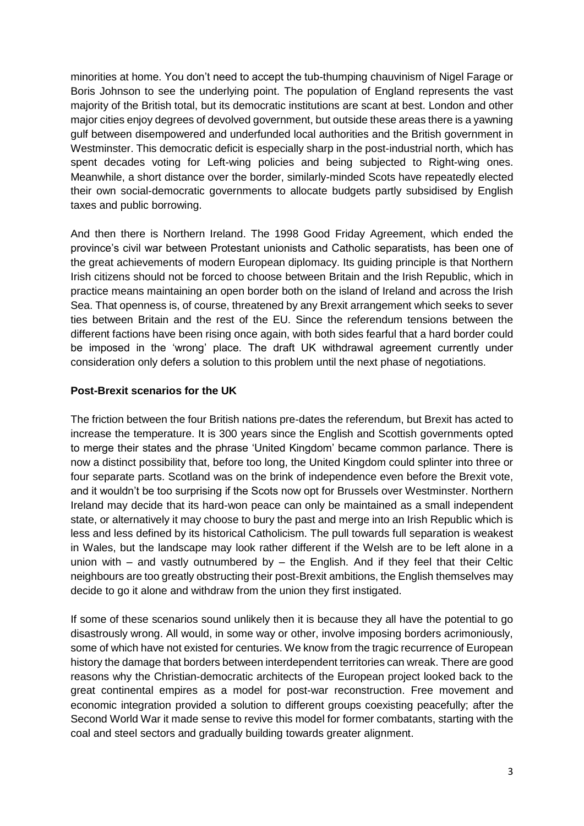minorities at home. You don't need to accept the tub-thumping chauvinism of Nigel Farage or Boris Johnson to see the underlying point. The population of England represents the vast majority of the British total, but its democratic institutions are scant at best. London and other major cities enjoy degrees of devolved government, but outside these areas there is a yawning gulf between disempowered and underfunded local authorities and the British government in Westminster. This democratic deficit is especially sharp in the post-industrial north, which has spent decades voting for Left-wing policies and being subjected to Right-wing ones. Meanwhile, a short distance over the border, similarly-minded Scots have repeatedly elected their own social-democratic governments to allocate budgets partly subsidised by English taxes and public borrowing.

And then there is Northern Ireland. The 1998 Good Friday Agreement, which ended the province's civil war between Protestant unionists and Catholic separatists, has been one of the great achievements of modern European diplomacy. Its guiding principle is that Northern Irish citizens should not be forced to choose between Britain and the Irish Republic, which in practice means maintaining an open border both on the island of Ireland and across the Irish Sea. That openness is, of course, threatened by any Brexit arrangement which seeks to sever ties between Britain and the rest of the EU. Since the referendum tensions between the different factions have been rising once again, with both sides fearful that a hard border could be imposed in the 'wrong' place. The draft UK withdrawal agreement currently under consideration only defers a solution to this problem until the next phase of negotiations.

### **Post-Brexit scenarios for the UK**

The friction between the four British nations pre-dates the referendum, but Brexit has acted to increase the temperature. It is 300 years since the English and Scottish governments opted to merge their states and the phrase 'United Kingdom' became common parlance. There is now a distinct possibility that, before too long, the United Kingdom could splinter into three or four separate parts. Scotland was on the brink of independence even before the Brexit vote, and it wouldn't be too surprising if the Scots now opt for Brussels over Westminster. Northern Ireland may decide that its hard-won peace can only be maintained as a small independent state, or alternatively it may choose to bury the past and merge into an Irish Republic which is less and less defined by its historical Catholicism. The pull towards full separation is weakest in Wales, but the landscape may look rather different if the Welsh are to be left alone in a union with  $-$  and vastly outnumbered by  $-$  the English. And if they feel that their Celtic neighbours are too greatly obstructing their post-Brexit ambitions, the English themselves may decide to go it alone and withdraw from the union they first instigated.

If some of these scenarios sound unlikely then it is because they all have the potential to go disastrously wrong. All would, in some way or other, involve imposing borders acrimoniously, some of which have not existed for centuries. We know from the tragic recurrence of European history the damage that borders between interdependent territories can wreak. There are good reasons why the Christian-democratic architects of the European project looked back to the great continental empires as a model for post-war reconstruction. Free movement and economic integration provided a solution to different groups coexisting peacefully; after the Second World War it made sense to revive this model for former combatants, starting with the coal and steel sectors and gradually building towards greater alignment.